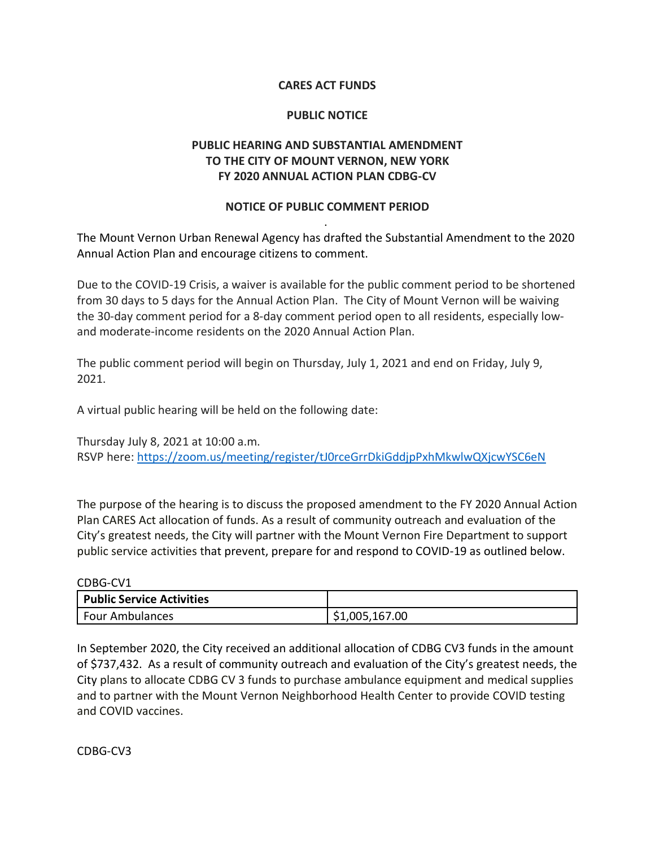## **CARES ACT FUNDS**

## **PUBLIC NOTICE**

## **PUBLIC HEARING AND SUBSTANTIAL AMENDMENT TO THE CITY OF MOUNT VERNON, NEW YORK FY 2020 ANNUAL ACTION PLAN CDBG-CV**

## **NOTICE OF PUBLIC COMMENT PERIOD** .

The Mount Vernon Urban Renewal Agency has drafted the Substantial Amendment to the 2020 Annual Action Plan and encourage citizens to comment.

Due to the COVID-19 Crisis, a waiver is available for the public comment period to be shortened from 30 days to 5 days for the Annual Action Plan. The City of Mount Vernon will be waiving the 30-day comment period for a 8-day comment period open to all residents, especially lowand moderate-income residents on the 2020 Annual Action Plan.

The public comment period will begin on Thursday, July 1, 2021 and end on Friday, July 9, 2021.

A virtual public hearing will be held on the following date:

Thursday July 8, 2021 at 10:00 a.m. RSVP here: <https://zoom.us/meeting/register/tJ0rceGrrDkiGddjpPxhMkwlwQXjcwYSC6eN>

The purpose of the hearing is to discuss the proposed amendment to the FY 2020 Annual Action Plan CARES Act allocation of funds. As a result of community outreach and evaluation of the City's greatest needs, the City will partner with the Mount Vernon Fire Department to support public service activities that prevent, prepare for and respond to COVID-19 as outlined below.

CDBG-CV1

| <b>Public Service Activities</b> |                |
|----------------------------------|----------------|
| <b>Four Ambulances</b>           | \$1,005,167.00 |

In September 2020, the City received an additional allocation of CDBG CV3 funds in the amount of \$737,432. As a result of community outreach and evaluation of the City's greatest needs, the City plans to allocate CDBG CV 3 funds to purchase ambulance equipment and medical supplies and to partner with the Mount Vernon Neighborhood Health Center to provide COVID testing and COVID vaccines.

CDBG-CV3